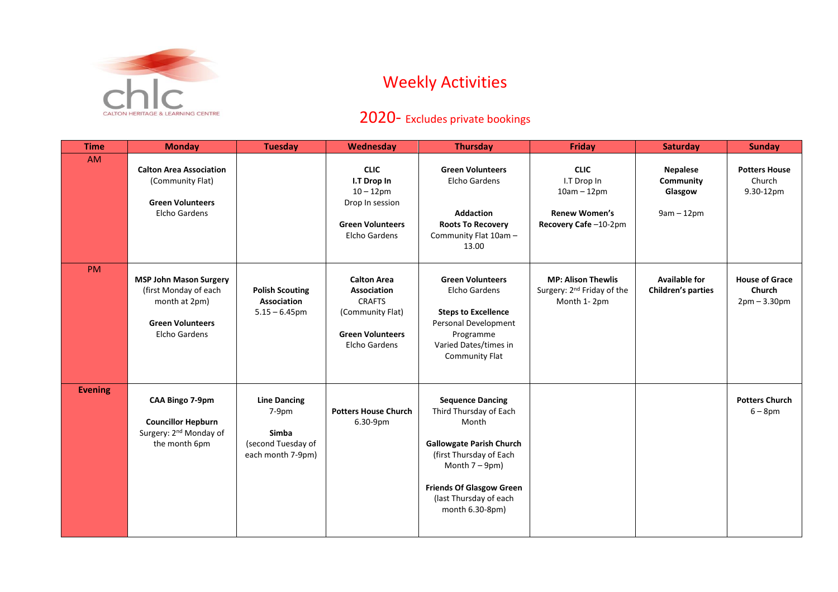

## Weekly Activities

## 2020- Excludes private bookings

| <b>Time</b>    | <b>Monday</b>                                                                                                              | <b>Tuesday</b>                                                                     | Wednesday                                                                                                                 | <b>Thursday</b>                                                                                                                                                                                                             | Friday                                                                                      | <b>Saturday</b>                                         | <b>Sunday</b>                                     |
|----------------|----------------------------------------------------------------------------------------------------------------------------|------------------------------------------------------------------------------------|---------------------------------------------------------------------------------------------------------------------------|-----------------------------------------------------------------------------------------------------------------------------------------------------------------------------------------------------------------------------|---------------------------------------------------------------------------------------------|---------------------------------------------------------|---------------------------------------------------|
| <b>AM</b>      | <b>Calton Area Association</b><br>(Community Flat)<br><b>Green Volunteers</b><br>Elcho Gardens                             |                                                                                    | <b>CLIC</b><br>I.T Drop In<br>$10 - 12$ pm<br>Drop In session<br><b>Green Volunteers</b><br>Elcho Gardens                 | <b>Green Volunteers</b><br><b>Elcho Gardens</b><br><b>Addaction</b><br><b>Roots To Recovery</b><br>Community Flat 10am -<br>13.00                                                                                           | <b>CLIC</b><br>I.T Drop In<br>$10am - 12pm$<br><b>Renew Women's</b><br>Recovery Cafe-10-2pm | <b>Nepalese</b><br>Community<br>Glasgow<br>$9am - 12pm$ | <b>Potters House</b><br>Church<br>9.30-12pm       |
| PM             | <b>MSP John Mason Surgery</b><br>(first Monday of each<br>month at 2pm)<br><b>Green Volunteers</b><br><b>Elcho Gardens</b> | <b>Polish Scouting</b><br><b>Association</b><br>$5.15 - 6.45$ pm                   | <b>Calton Area</b><br><b>Association</b><br><b>CRAFTS</b><br>(Community Flat)<br><b>Green Volunteers</b><br>Elcho Gardens | <b>Green Volunteers</b><br>Elcho Gardens<br><b>Steps to Excellence</b><br>Personal Development<br>Programme<br>Varied Dates/times in<br><b>Community Flat</b>                                                               | <b>MP: Alison Thewlis</b><br>Surgery: 2 <sup>nd</sup> Friday of the<br>Month 1-2pm          | <b>Available for</b><br><b>Children's parties</b>       | <b>House of Grace</b><br>Church<br>$2pm - 3.30pm$ |
| <b>Evening</b> | CAA Bingo 7-9pm<br><b>Councillor Hepburn</b><br>Surgery: 2 <sup>nd</sup> Monday of<br>the month 6pm                        | <b>Line Dancing</b><br>$7-9pm$<br>Simba<br>(second Tuesday of<br>each month 7-9pm) | <b>Potters House Church</b><br>6.30-9pm                                                                                   | <b>Sequence Dancing</b><br>Third Thursday of Each<br>Month<br><b>Gallowgate Parish Church</b><br>(first Thursday of Each<br>Month $7-9$ pm)<br><b>Friends Of Glasgow Green</b><br>(last Thursday of each<br>month 6.30-8pm) |                                                                                             |                                                         | <b>Potters Church</b><br>$6 - 8$ pm               |